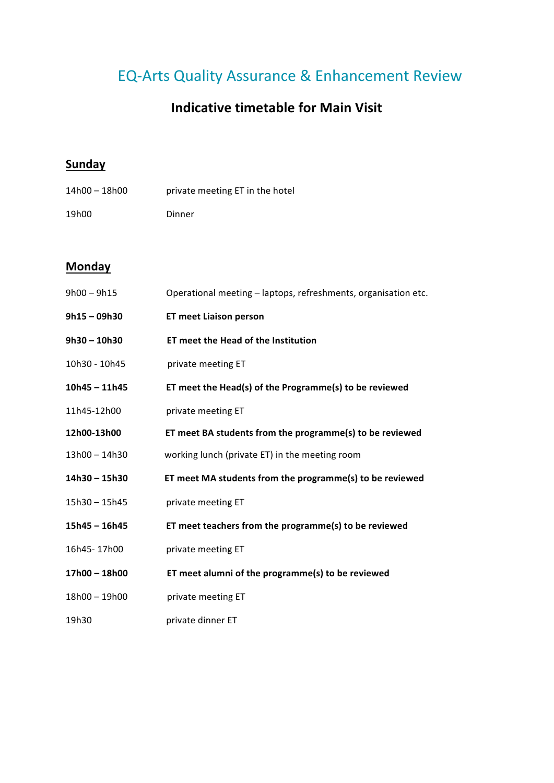# EQ-Arts Quality Assurance & Enhancement Review

#### **Indicative timetable for Main Visit**

### **Sunday**

| 14h00 - 18h00 | private meeting ET in the hotel |
|---------------|---------------------------------|
| 19h00         | Dinner                          |

### **Monday**

| $9h00 - 9h15$   | Operational meeting - laptops, refreshments, organisation etc. |
|-----------------|----------------------------------------------------------------|
| $9h15 - 09h30$  | <b>ET meet Liaison person</b>                                  |
| $9h30 - 10h30$  | ET meet the Head of the Institution                            |
| 10h30 - 10h45   | private meeting ET                                             |
| $10h45 - 11h45$ | ET meet the Head(s) of the Programme(s) to be reviewed         |
| 11h45-12h00     | private meeting ET                                             |
| 12h00-13h00     | ET meet BA students from the programme(s) to be reviewed       |
| 13h00 - 14h30   | working lunch (private ET) in the meeting room                 |
| 14h30 - 15h30   | ET meet MA students from the programme(s) to be reviewed       |
| $15h30 - 15h45$ | private meeting ET                                             |
| $15h45 - 16h45$ | ET meet teachers from the programme(s) to be reviewed          |
| 16h45-17h00     | private meeting ET                                             |
| 17h00 - 18h00   | ET meet alumni of the programme(s) to be reviewed              |
| 18h00 - 19h00   | private meeting ET                                             |
| 19h30           | private dinner ET                                              |